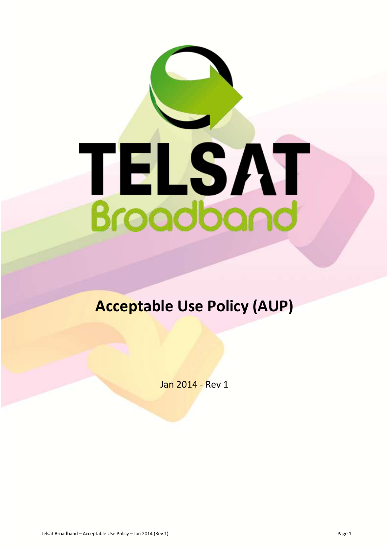

# **Acceptable Use Policy (AUP)**

Jan 2014 - Rev 1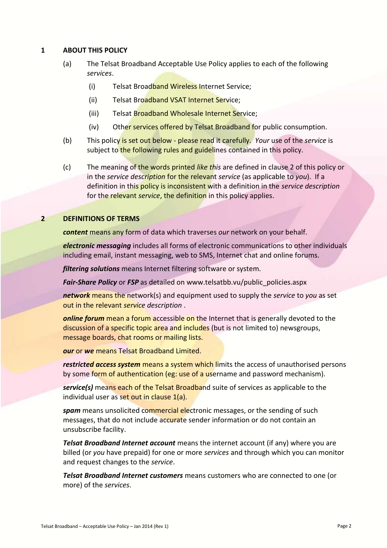### **1 ABOUT THIS POLICY**

- (a) The Telsat Broadband Acceptable Use Policy applies to each of the following *services*.
	- (i) Telsat Broadband Wireless Internet Service;
	- (ii) Telsat Broadband VSAT Internet Service;
	- (iii) Telsat Broadband Wholesale Internet Service;
	- (iv) Other services offered by Telsat Broadband for public consumption.
- (b) This policy is set out below please read it carefully. *Your* use of the *service* is subject to the following rules and guidelines contained in this policy.
- (c) The meaning of the words printed *like this* are defined in clause 2 of this policy or in the *service description* for the relevant *service* (as applicable to *you*). If a definition in this policy is inconsistent with a definition in the *service description* for the relevant *service*, the definition in this policy applies.

### **2 DEFINITIONS OF TERMS**

*content* means any form of data which traverses *our* network on your behalf.

*electronic messaging* includes all forms of electronic communications to other individuals including email, instant messaging, web to SMS, Internet chat and online forums.

*filtering solutions* means Internet filtering software or system.

*Fair-Share Policy* or *FSP* as detailed on www.telsatbb.vu/public\_policies.aspx

*network* means the network(s) and equipment used to supply the *service* to *you* as set out in the relevant *service description* .

*online forum* mean a forum accessible on the Internet that is generally devoted to the discussion of a specific topic area and includes (but is not limited to) newsgroups, message boards, chat rooms or mailing lists.

*our* or *we* means Telsat Broadband Limited.

*restricted access system* means a system which limits the access of unauthorised persons by some form of authentication (eg: use of a username and password mechanism).

*service(s)* means each of the Telsat Broadband suite of services as applicable to the individual user as set out in clause 1(a).

*spam* means unsolicited commercial electronic messages, or the sending of such messages, that do not include accurate sender information or do not contain an unsubscribe facility.

*Telsat Broadband Internet account* means the internet account (if any) where you are billed (or *you* have prepaid) for one or more *services* and through which you can monitor and request changes to the *service*.

*Telsat Broadband Internet customers* means customers who are connected to one (or more) of the *services*.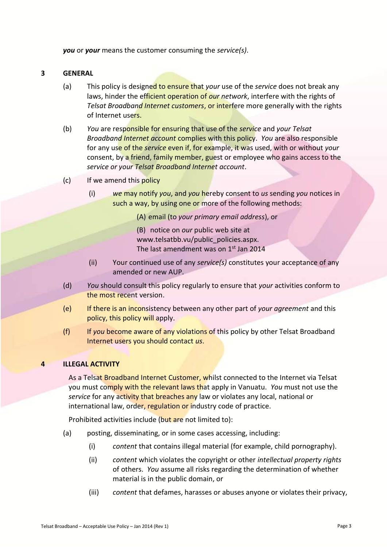*you* or *your* means the customer consuming the *service(s)*.

#### **3 GENERAL**

- (a) This policy is designed to ensure that *your* use of the *service* does not break any laws, hinder the efficient operation of *our network*, interfere with the rights of *Telsat Broadband Internet customers*, or interfere more generally with the rights of Internet users.
- (b) *You* are responsible for ensuring that use of the *service* and *your Telsat Broadband Internet account* complies with this policy. *You* are also responsible for any use of the *service* even if, for example, it was used, with or without *your* consent, by a friend, family member, guest or employee who gains access to the *service or your Telsat Broadband Internet account*.
- (c) If we amend this policy
	- (i) *we* may notify *you*, and *you* hereby consent to *us* sending *you* notices in such a way, by using one or more of the following methods:

(A) email (to *your primary email address*), or

- (B) notice on *our* public web site at www.telsatbb.vu/public\_policies.aspx. The last amendment was on  $1<sup>st</sup>$  Jan 2014
- (ii) Your continued use of any *service(s)* constitutes your acceptance of any amended or new AUP.
- (d) *You* should consult this policy regularly to ensure that *your* activities conform to the most recent version.
- (e) If there is an inconsistency between any other part of *your agreement* and this policy, this policy will apply.
- (f) If *you* become aware of any violations of this policy by other Telsat Broadband Internet users you should contact *us*.

## **4 ILLEGAL ACTIVITY**

As a Telsat Broadband Internet Customer, whilst connected to the Internet via Telsat you must comply with the relevant laws that apply in Vanuatu. *You* must not use the *service* for any activity that breaches any law or violates any local, national or international law, order, regulation or industry code of practice.

Prohibited activities include (but are not limited to):

- (a) posting, disseminating, or in some cases accessing, including:
	- (i) *content* that contains illegal material (for example, child pornography).
	- (ii) *content* which violates the copyright or other *intellectual property rights* of others. *You* assume all risks regarding the determination of whether material is in the public domain, or
	- (iii) *content* that defames, harasses or abuses anyone or violates their privacy,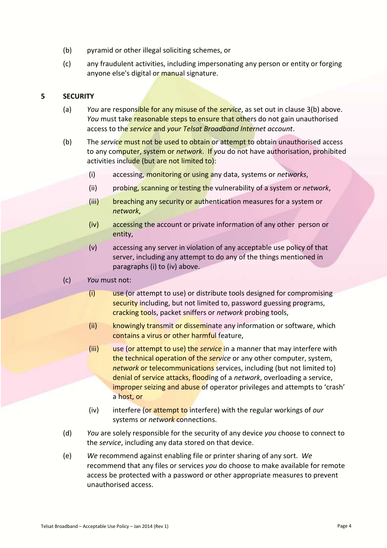- (b) pyramid or other illegal soliciting schemes, or
- (c) any fraudulent activities, including impersonating any person or entity or forging anyone else's digital or manual signature.

## **5 SECURITY**

- (a) *You* are responsible for any misuse of the *service*, as set out in clause 3(b) above. You must take reasonable steps to ensure that others do not gain unauthorised access to the *service* and *your Telsat Broadband Internet account*.
- (b) The *service* must not be used to obtain or attempt to obtain unauthorised access to any computer, system or *network*. If *you* do not have authorisation, prohibited activities include (but are not limited to):
	- (i) accessing, monitoring or using any data, systems or *networks*,
	- (ii) probing, scanning or testing the vulnerability of a system or *network*,
	- (iii) breaching any security or authentication measures for a system or *network*,
	- (iv) accessing the account or private information of any other person or entity,
	- (v) accessing any server in violation of any acceptable use policy of that server, including any attempt to do any of the things mentioned in paragraphs (i) to (iv) above.
- (c) *You* must not:
	- (i) use (or attempt to use) or distribute tools designed for compromising security including, but not limited to, password guessing programs, cracking tools, packet sniffers or *network* probing tools,
	- (ii) knowingly transmit or disseminate any information or software, which contains a virus or other harmful feature,
	- (iii) use (or attempt to use) the *service* in a manner that may interfere with the technical operation of the *service* or any other computer, system, *network* or telecommunications services, including (but not limited to) denial of service attacks, flooding of a *network*, overloading a service, improper seizing and abuse of operator privileges and attempts to 'crash' a host, or
	- (iv) interfere (or attempt to interfere) with the regular workings of *our* systems or *network* connections.
- (d) *You* are solely responsible for the security of any device *you* choose to connect to the *service*, including any data stored on that device.
- (e) *We* recommend against enabling file or printer sharing of any sort. *We* recommend that any files or services *you* do choose to make available for remote access be protected with a password or other appropriate measures to prevent unauthorised access.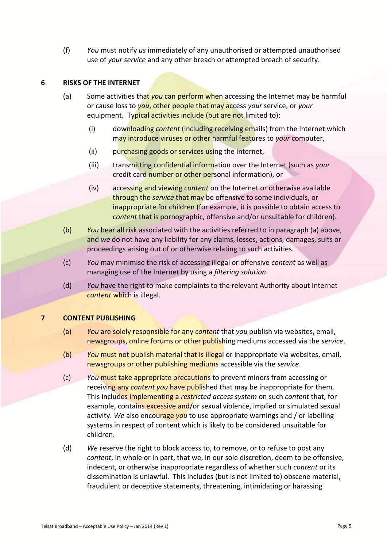(f) *You* must notify *us* immediately of any unauthorised or attempted unauthorised use of *your service* and any other breach or attempted breach of security.

# **6 RISKS OF THE INTERNET**

- (a) Some activities that *you* can perform when accessing the Internet may be harmful or cause loss to *you*, other people that may access *your* service, or *your* equipment. Typical activities include (but are not limited to):
	- (i) downloading *content* (including receiving emails) from the Internet which may introduce viruses or other harmful features to *your* computer,
	- (ii) purchasing goods or services using the Internet,
	- (iii) transmitting confidential information over the Internet (such as *your* credit card number or other personal information), or
	- (iv) accessing and viewing *content* on the Internet or otherwise available through the *service* that may be offensive to some individuals, or inappropriate for children (for example, it is possible to obtain access to *content* that is pornographic, offensive and/or unsuitable for children).
- (b) *You* bear all risk associated with the activities referred to in paragraph (a) above, and *we* do not have any liability for any claims, losses, actions, damages, suits or proceedings arising out of or otherwise relating to such activities.
- (c) *You* may minimise the risk of accessing illegal or offensive *content* as well as managing use of the Internet by using a *filtering solution*.
- (d) *You* have the right to make complaints to the relevant Authority about Internet *content* which is illegal.

## **7 CONTENT PUBLISHING**

- (a) *You* are solely responsible for any *content* that *you* publish via websites, email, newsgroups, online forums or other publishing mediums accessed via the *service*.
- (b) *You* must not publish material that is illegal or inappropriate via websites, email, newsgroups or other publishing mediums accessible via the *service*.
- (c) *You* must take appropriate precautions to prevent minors from accessing or receiving any *content you* have published that may be inappropriate for them. This includes implementing a *restricted access system* on such *content* that, for example, contains excessive and/or sexual violence, implied or simulated sexual activity. *We* also encourage *you* to use appropriate warnings and / or labelling systems in respect of content which is likely to be considered unsuitable for children.
- (d) *We* reserve the right to block access to, to remove, or to refuse to post any *content*, in whole or in part, that we, in our sole discretion, deem to be offensive, indecent, or otherwise inappropriate regardless of whether such *content* or its dissemination is unlawful. This includes (but is not limited to) obscene material, fraudulent or deceptive statements, threatening, intimidating or harassing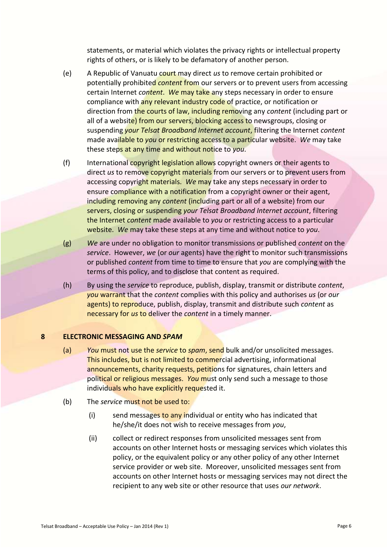statements, or material which violates the privacy rights or intellectual property rights of others, or is likely to be defamatory of another person.

- (e) A Republic of Vanuatu court may direct *us* to remove certain prohibited or potentially prohibited *content* from our servers or to prevent users from accessing certain Internet *content*. *We* may take any steps necessary in order to ensure compliance with any relevant industry code of practice, or notification or direction from the courts of law, including removing any *content* (including part or all of a website) from our servers, blocking access to newsgroups, closing or suspending *your Telsat Broadband Internet account*, filtering the Internet *content* made available to *you* or restricting access to a particular website. *We* may take these steps at any time and without notice to *you*.
- (f) International copyright legislation allows copyright owners or their agents to direct *us* to remove copyright materials from our servers or to prevent users from accessing copyright materials. *We* may take any steps necessary in order to ensure compliance with a notification from a copyright owner or their agent, including removing any *content* (including part or all of a website) from our servers, closing or suspending *your Telsat Broadband Internet account*, filtering the Internet *content* made available to *you* or restricting access to a particular website. *We* may take these steps at any time and without notice to *you*.
- (g) *We* are under no obligation to monitor transmissions or published *content* on the *service*. However, *we* (or *our* agents) have the right to monitor such transmissions or published *content* from time to time to ensure that *you* are complying with the terms of this policy, and to disclose that content as required.
- (h) By using the *service* to reproduce, publish, display, transmit or distribute *content*, *you* warrant that the *content* complies with this policy and authorises *us* (or *our* agents) to reproduce, publish, display, transmit and distribute such *content* as necessary for *us* to deliver the *content* in a timely manner.

#### **8 ELECTRONIC MESSAGING AND** *SPAM*

- (a) *You* must not use the *service* to *spam*, send bulk and/or unsolicited messages. This includes, but is not limited to commercial advertising, informational announcements, charity requests, petitions for signatures, chain letters and political or religious messages. *You* must only send such a message to those individuals who have explicitly requested it.
- (b) The *service* must not be used to:
	- $(i)$  send messages to any individual or entity who has indicated that he/she/it does not wish to receive messages from *you*,
	- (ii) collect or redirect responses from unsolicited messages sent from accounts on other Internet hosts or messaging services which violates this policy, or the equivalent policy or any other policy of any other Internet service provider or web site. Moreover, unsolicited messages sent from accounts on other Internet hosts or messaging services may not direct the recipient to any web site or other resource that uses *our network*.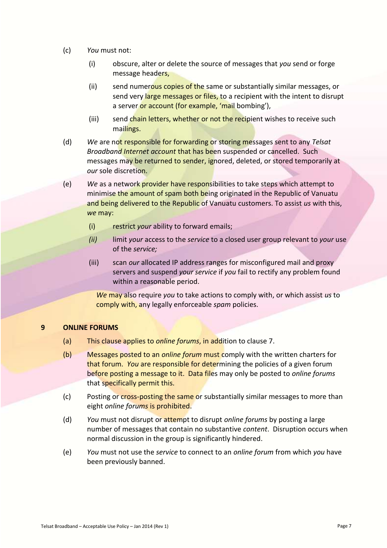- (c) *You* must not:
	- (i) obscure, alter or delete the source of messages that *you* send or forge message headers,
	- (ii) send numerous copies of the same or substantially similar messages, or send very large messages or files, to a recipient with the intent to disrupt a server or account (for example, 'mail bombing'),
	- (iii) send chain letters, whether or not the recipient wishes to receive such mailings.
- (d) *We* are not responsible for forwarding or storing messages sent to any *Telsat Broadband Internet account* that has been suspended or cancelled. Such messages may be returned to sender, ignored, deleted, or stored temporarily at *our* sole discretion.
- (e) *We* as a network provider have responsibilities to take steps which attempt to minimise the amount of spam both being originated in the Republic of Vanuatu and being delivered to the Republic of Vanuatu customers. To assist *us* with this, *we* may:
	- (i) restrict *your* ability to forward emails;
	- *(ii)* limit *your* access to the *service* to a closed user group relevant to *your* use of the *service;*
	- (iii) scan *our* allocated IP address ranges for misconfigured mail and proxy servers and suspend *your service* if *you* fail to rectify any problem found within a reasonable period.

*We* may also require *you* to take actions to comply with, or which assist *us* to comply with, any legally enforceable *spam* policies.

#### **9 ONLINE FORUMS**

- (a) This clause applies to *online forums*, in addition to clause 7.
- (b) Messages posted to an *online forum* must comply with the written charters for that forum. *You* are responsible for determining the policies of a given forum before posting a message to it. Data files may only be posted to *online forums* that specifically permit this.
- (c) Posting or cross-posting the same or substantially similar messages to more than eight *online forums* is prohibited.
- (d) *You* must not disrupt or attempt to disrupt *online forums* by posting a large number of messages that contain no substantive *content*. Disruption occurs when normal discussion in the group is significantly hindered.
- (e) *You* must not use the *service* to connect to an *online forum* from which *you* have been previously banned.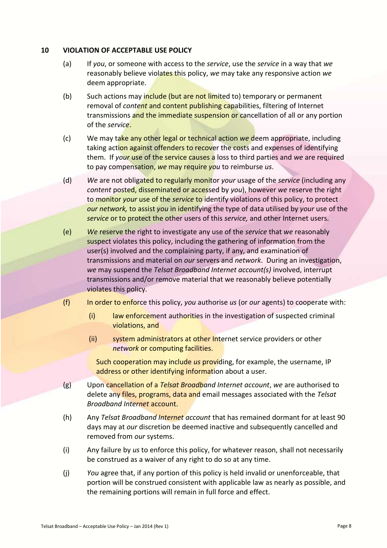#### **10 VIOLATION OF ACCEPTABLE USE POLICY**

- (a) If *you*, or someone with access to the *service*, use the *service* in a way that *we* reasonably believe violates this policy, *we* may take any responsive action *we* deem appropriate.
- (b) Such actions may include (but are not limited to) temporary or permanent removal of *content* and content publishing capabilities, filtering of Internet transmissions and the immediate suspension or cancellation of all or any portion of the *service*.
- (c) We may take any other legal or technical action *we* deem appropriate, including taking action against offenders to recover the costs and expenses of identifying them. If *your* use of the service causes a loss to third parties and *we* are required to pay compensation, *we* may require *you* to reimburse *us*.
- (d) *We* are not obligated to regularly monitor *your* usage of the *service* (including any *content* posted, disseminated or accessed by *you*), however *we* reserve the right to monitor *your* use of the *service* to identify violations of this policy, to protect *our network,* to assist *you* in identifying the type of data utilised by *your* use of the *service* or to protect the other users of this *service,* and other Internet users.
- (e) *We* reserve the right to investigate any use of the *service* that *we* reasonably suspect violates this policy, including the gathering of information from the user(s) involved and the complaining party, if any, and examination of transmissions and material on *our* servers and *network*. During an investigation, *we* may suspend the *Telsat Broadband Internet account(s)* involved, interrupt transmissions and/or remove material that we reasonably believe potentially violates this policy.
- (f) In order to enforce this policy, *you* authorise *us* (or *our* agents) to cooperate with:
	- (i) law enforcement authorities in the investigation of suspected criminal violations, and
	- (ii) system administrators at other Internet service providers or other *network* or computing facilities.

Such cooperation may include *us* providing, for example, the username, IP address or other identifying information about a user.

- (g) Upon cancellation of a *Telsat Broadband Internet account*, *we* are authorised to delete any files, programs, data and email messages associated with the *Telsat Broadband Internet* account.
- (h) Any *Telsat Broadband Internet account* that has remained dormant for at least 90 days may at *our* discretion be deemed inactive and subsequently cancelled and removed from *our* systems.
- (i) Any failure by *us* to enforce this policy, for whatever reason, shall not necessarily be construed as a waiver of any right to do so at any time.
- (j) *You* agree that, if any portion of this policy is held invalid or unenforceable, that portion will be construed consistent with applicable law as nearly as possible, and the remaining portions will remain in full force and effect.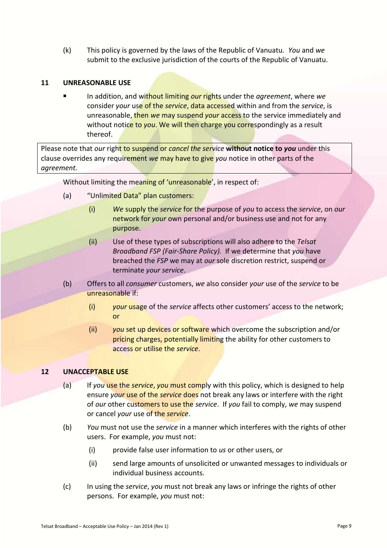(k) This policy is governed by the laws of the Republic of Vanuatu. *You* and *we* submit to the exclusive jurisdiction of the courts of the Republic of Vanuatu.

# **11 UNREASONABLE USE**

 In addition, and without limiting *our* rights under the *agreement*, where *we* consider *your* use of the *service*, data accessed within and from the *service*, is unreasonable, then *we* may suspend *your* access to the service immediately and without notice to *you*. We will then charge you correspondingly as a result thereof.

Please note that *our* right to suspend or *cancel the service* **without notice to** *you* under this clause overrides any requirement *we* may have to give *you* notice in other parts of the *agreement.*

Without limiting the meaning of 'unreasonable', in respect of:

- (a) "Unlimited Data" plan customers:
	- (i) *We* supply the *service* for the purpose of *you* to access the *service*, on *our* network for *your* own personal and/or business use and not for any purpose.
	- (ii) Use of these types of subscriptions will also adhere to the *Telsat Broadband FSP (Fair-Share Policy).* If we determine that *you* have breached the *FSP* we may at *our* sole discretion restrict, suspend or terminate *your service*.
- (b) Offers to all *consumer* customers, *we* also consider *your* use of the *service* to be unreasonable if:
	- (i) *your* usage of the *service* affects other customers' access to the network; or
	- (ii) *you* set up devices or software which overcome the subscription and/or pricing charges, potentially limiting the ability for other customers to access or utilise the *service*.

# **12 UNACCEPTABLE USE**

- (a) If *you* use the *service*, *you* must comply with this policy, which is designed to help ensure *your* use of the *service* does not break any laws or interfere with the right of *our* other customers to use the *service*. If *you* fail to comply, *we* may suspend or cancel *your* use of the *service*.
- (b) *You* must not use the *service* in a manner which interferes with the rights of other users. For example, *you* must not:
	- (i) provide false user information to *us* or other users, or
	- (ii) send large amounts of unsolicited or unwanted messages to individuals or individual business accounts.
- (c) In using the *service*, *you* must not break any laws or infringe the rights of other persons. For example, *you* must not: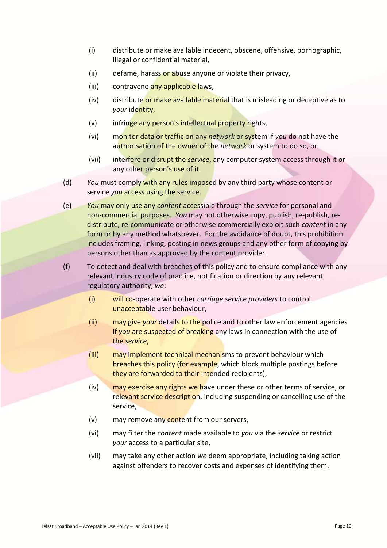- (i) distribute or make available indecent, obscene, offensive, pornographic, illegal or confidential material,
- (ii) defame, harass or abuse anyone or violate their privacy,
- (iii) contravene any applicable laws,
- (iv) distribute or make available material that is misleading or deceptive as to *your* identity,
- (v) infringe any person's intellectual property rights,
- (vi) monitor data or traffic on any *network* or system if *you* do not have the authorisation of the owner of the *network* or system to do so, or
- (vii) interfere or disrupt the *service*, any computer system access through it or any other person's use of it.
- (d) *You* must comply with any rules imposed by any third party whose content or service *you* access using the service.

(e) *You* may only use any *content* accessible through the *service* for personal and non-commercial purposes. *You* may not otherwise copy, publish, re-publish, redistribute, re-communicate or otherwise commercially exploit such *content* in any form or by any method whatsoever. For the avoidance of doubt, this prohibition includes framing, linking, posting in news groups and any other form of copying by persons other than as approved by the content provider.

(f) To detect and deal with breaches of this policy and to ensure compliance with any relevant industry code of practice, notification or direction by any relevant regulatory authority, *we*:

- (i) will co-operate with other *carriage service providers* to control unacceptable user behaviour,
- (ii) may give *your* details to the police and to other law enforcement agencies if *you* are suspected of breaking any laws in connection with the use of the *service*,
- (iii) may implement technical mechanisms to prevent behaviour which breaches this policy (for example, which block multiple postings before they are forwarded to their intended recipients),
- (iv) may exercise any rights we have under these or other terms of service, or relevant service description, including suspending or cancelling use of the service,
- (v) may remove any content from our servers,
- (vi) may filter the *content* made available to *you* via the *service* or restrict *your* access to a particular site,
- (vii) may take any other action *we* deem appropriate, including taking action against offenders to recover costs and expenses of identifying them.